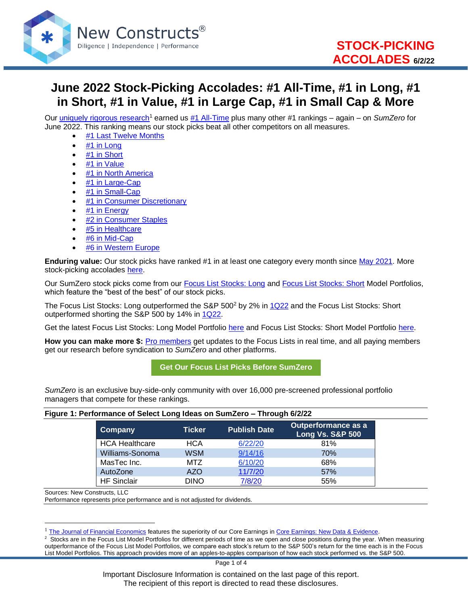

# **June 2022 Stock-Picking Accolades: #1 All-Time, #1 in Long, #1 in Short, #1 in Value, #1 in Large Cap, #1 in Small Cap & More**

Our [uniquely rigorous research](https://www.newconstructs.com/proof-of-the-superiority-of-our-data-models-ratings/)<sup>1</sup> earned us [#1 All-Time](https://www.newconstructs.com/wp-content/uploads/2022/06/SumZeroRankings_AllTime_June2022.png) plus many other #1 rankings – again – on *SumZero* for June 2022. This ranking means our stock picks beat all other competitors on all measures.

- [#1 Last Twelve Months](https://www.newconstructs.com/wp-content/uploads/2022/06/SumZeroRankings_LTM_June2022.png)
- [#1 in Long](https://www.newconstructs.com/wp-content/uploads/2022/06/SumZeroRankings_Long_June2022.png)
- [#1 in Short](https://www.newconstructs.com/wp-content/uploads/2022/06/SumZeroRankings_Short_June2022.png)
- [#1 in Value](https://www.newconstructs.com/wp-content/uploads/2022/06/SumZeroRankings_Value_June2022.png)
- [#1 in North America](https://www.newconstructs.com/wp-content/uploads/2022/06/SumZeroRankings_NorthAmerica_June2022.png)
- [#1 in Large-Cap](https://www.newconstructs.com/wp-content/uploads/2022/06/SumZeroRankings_LargeCap_June2022.png)
- [#1 in Small-Cap](https://www.newconstructs.com/wp-content/uploads/2022/06/SumZeroRankings_SmallCap_June2022.png)
- [#1 in Consumer Discretionary](https://www.newconstructs.com/wp-content/uploads/2022/06/SumZeroRankings_ConsumerDiscretionary_June2022.png)
- [#1 in Energy](https://www.newconstructs.com/wp-content/uploads/2022/06/SumZeroRankings_Energy_June2022.png)
- #2 [in Consumer Staples](https://www.newconstructs.com/wp-content/uploads/2022/06/SumZeroRankings_ConsumerStaples_June2022.png)
- [#5 in Healthcare](https://www.newconstructs.com/wp-content/uploads/2022/06/SumZeroRankings_Healthcare_June2022.png)
- [#6 in Mid-Cap](https://www.newconstructs.com/wp-content/uploads/2022/06/SumZeroRankings_MidCap_June2022.png)
- #6 [in Western Europe](https://www.newconstructs.com/wp-content/uploads/2022/06/SumZeroRankings_WesternEurope_June2022.png)

**Enduring value:** Our stock picks have ranked #1 in at least one category every month since [May 2021.](https://www.newconstructs.com/may-2021-stock-picking-accolades-1-in-long-1-in-value-1-in-large-cap-1-in-consumer-discretionary-2-all-time-more/) More stock-picking accolades [here.](https://www.newconstructs.com/category/dont-take-my-word-for-it/)

Our SumZero stock picks come from our Focus List [Stocks: Long](https://www.newconstructs.com/category/focus-list-long/) and [Focus List Stocks: Short](https://www.newconstructs.com/category/focus-list-short/) Model Portfolios, which feature the "best of the best" of our stock picks.

The Focus List Stocks: Long outperformed the S&P 500<sup>2</sup> by 2% in [1Q22](https://www.newconstructs.com/focus-list-stocks-long-model-portfolio-outperforms-by-2-in-1q22/) and the Focus List Stocks: Short outperformed shorting the S&P 500 by 14% in [1Q22.](https://www.newconstructs.com/focus-list-stocks-short-model-portfolio-outperforms-by-14-in-1q22/)

Get the latest Focus List Stocks: Long Model Portfolio [here](https://shop.newconstructs.com/products/focus-list-stocks-long-download-report) and Focus List Stocks: Short Model Portfolio [here.](https://shop.newconstructs.com/products/focus-list-stocks-short-download-report)

**How you can make more \$:** [Pro members](https://www.newconstructs.com/pro-video-tour/) get updates to the Focus Lists in real time, and all paying members get our research before syndication to *SumZero* and other platforms.

**[Get Our Focus List Picks Before SumZero](https://www.newconstructs.com/pro-video-tour/)**

*SumZero* is an exclusive buy-side-only community with over 16,000 pre-screened professional portfolio managers that compete for these rankings.

#### **Figure 1: Performance of Select Long Ideas on SumZero – Through 6/2/22**

| ⊺Company              | <b>Ticker</b> | <b>Publish Date</b> | <b>Outperformance as a</b><br><b>Long Vs. S&amp;P 500</b> |
|-----------------------|---------------|---------------------|-----------------------------------------------------------|
| <b>HCA Healthcare</b> | HCA           | 6/22/20             | 81%                                                       |
| Williams-Sonoma       | <b>WSM</b>    | 9/14/16             | 70%                                                       |
| MasTec Inc.           | MTZ           | 6/10/20             | 68%                                                       |
| AutoZone              | AZO           | 11/7/20             | 57%                                                       |
| <b>HF</b> Sinclair    | <b>DINO</b>   | 7/8/20              | 55%                                                       |

Sources: New Constructs, LLC

Performance represents price performance and is not adjusted for dividends.

 $2$  Stocks are in the Focus List Model Portfolios for different periods of time as we open and close positions during the year. When measuring outperformance of the Focus List Model Portfolios, we compare each stock's return to the S&P 500's return for the time each is in the Focus List Model Portfolios. This approach provides more of an apples-to-apples comparison of how each stock performed vs. the S&P 500.

Important Disclosure Information is contained on the last page of this report. The recipient of this report is directed to read these disclosures.

[The Journal of Financial Economics](https://papers.ssrn.com/sol3/papers.cfm?abstract_id=3467814) features the superiority of our Core Earnings in [Core Earnings: New Data & Evidence.](https://www.newconstructs.com/its-official-we-offer-the-best-fundamental-data-in-the-world/)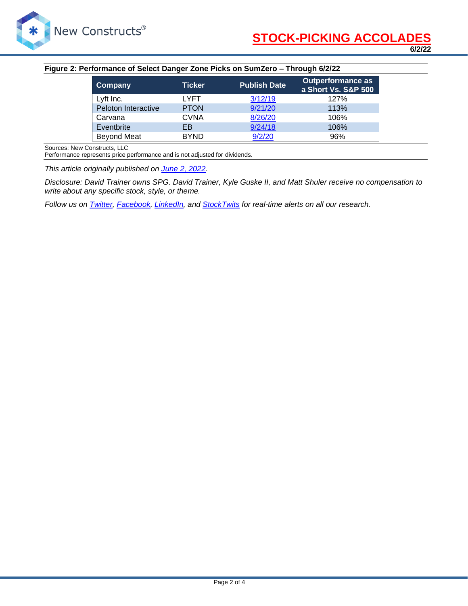

#### **Figure 2: Performance of Select Danger Zone Picks on SumZero – Through 6/2/22**

| Company             | <b>Ticker</b> | <b>Publish Date</b> | <b>Outperformance as</b><br>a Short Vs. S&P 500 |
|---------------------|---------------|---------------------|-------------------------------------------------|
| Lyft Inc.           | LYFT.         | 3/12/19             | 127%                                            |
| Peloton Interactive | <b>PTON</b>   | 9/21/20             | 113%                                            |
| Carvana             | <b>CVNA</b>   | 8/26/20             | 106%                                            |
| Eventbrite          | EB            | 9/24/18             | 106%                                            |
| <b>Beyond Meat</b>  | <b>BYND</b>   | 9/2/20              | 96%                                             |

Sources: New Constructs, LLC

Performance represents price performance and is not adjusted for dividends.

*This article originally published on [June 2, 2022.](https://www.newconstructs.com/june-2022-stock-picking-accolades-1-all-time-1-in-long-1-in-short-1-in-value-1-in-large-cap-1-in-small-cap-more/)*

*Disclosure: David Trainer owns SPG. David Trainer, Kyle Guske II, and Matt Shuler receive no compensation to write about any specific stock, style, or theme.*

*Follow us on [Twitter,](https://twitter.com/NewConstructs) [Facebook,](https://www.facebook.com/newconstructsllc/) [LinkedIn,](https://www.linkedin.com/company/new-constructs) and [StockTwits](https://stocktwits.com/dtrainer_NewConstructs) for real-time alerts on all our research.*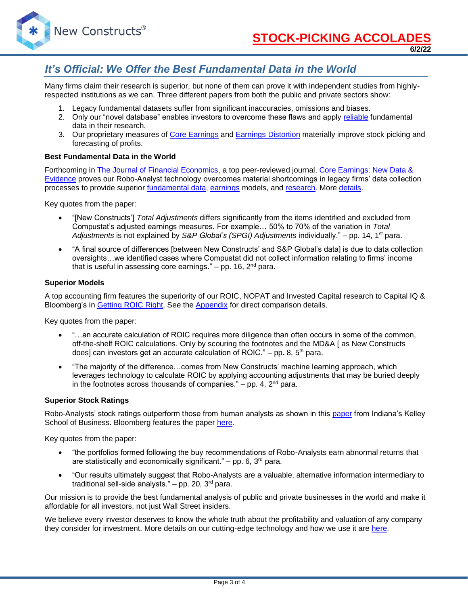

**6/2/22**

## *It's Official: We Offer the Best Fundamental Data in the World*

Many firms claim their research is superior, but none of them can prove it with independent studies from highlyrespected institutions as we can. Three different papers from both the public and private sectors show:

- 1. Legacy fundamental datasets suffer from significant inaccuracies, omissions and biases.
- 2. Only our "novel database" enables investors to overcome these flaws and apply [reliable](https://www.newconstructs.com/evidence-on-the-superiority-of-our-earnings-data/) fundamental data in their research.
- 3. Our proprietary measures of [Core Earnings](https://www.newconstructs.com/education-core-earnings-earnings-distortion/) and [Earnings Distortion](https://www.newconstructs.com/earnings-distortion-score-methodology/) materially improve stock picking and forecasting of profits.

#### **Best Fundamental Data in the World**

Forthcoming in [The Journal of Financial Economics,](http://jfe.rochester.edu/) a top peer-reviewed journal, Core Earnings: New Data & [Evidence](https://papers.ssrn.com/sol3/papers.cfm?abstract_id=3467814) proves our Robo-Analyst technology overcomes material shortcomings in legacy firms' data collection processes to provide superior [fundamental data,](https://www.newconstructs.com/data/) [earnings](https://www.newconstructs.com/education-core-earnings-earnings-distortion/) models, and [research.](https://www.newconstructs.com/blog/) More [details.](https://www.newconstructs.com/evidence-on-the-superiority-of-our-earnings-data/)

Key quotes from the paper:

- "[New Constructs'] *Total Adjustments* differs significantly from the items identified and excluded from Compustat's adjusted earnings measures. For example… 50% to 70% of the variation in *Total Adjustments* is not explained by *S&P Global's (SPGI) Adjustments* individually." – pp. 14, 1st para.
- "A final source of differences [between New Constructs' and S&P Global's data] is due to data collection oversights…we identified cases where Compustat did not collect information relating to firms' income that is useful in assessing core earnings."  $-$  pp. 16,  $2<sup>nd</sup>$  para.

#### **Superior Models**

A top accounting firm features the superiority of our ROIC, NOPAT and Invested Capital research to Capital IQ & Bloomberg's in [Getting](https://www.newconstructs.com/getting-roic-right/) ROIC Right. See the [Appendix](https://www.newconstructs.com/wp-content/uploads/2019/06/Getting-ROIC-Right.pdf) for direct comparison details.

Key quotes from the paper:

- "...an accurate calculation of ROIC requires more diligence than often occurs in some of the common, off-the-shelf ROIC calculations. Only by scouring the footnotes and the MD&A [ as New Constructs does] can investors get an accurate calculation of ROIC." - pp. 8,  $5<sup>th</sup>$  para.
- "The majority of the difference…comes from New Constructs' machine learning approach, which leverages technology to calculate ROIC by applying accounting adjustments that may be buried deeply in the footnotes across thousands of companies."  $-$  pp. 4,  $2<sup>nd</sup>$  para.

#### **Superior Stock Ratings**

Robo-Analysts' stock ratings outperform those from human analysts as shown in this [paper](https://papers.ssrn.com/sol3/papers.cfm?abstract_id=3514879) from Indiana's Kelley School of Business. Bloomberg features the paper [here.](https://www.bloomberg.com/news/articles/2020-02-11/robot-analysts-outwit-humans-in-study-of-profit-from-stock-calls?sref=zw7RLDfe)

Key quotes from the paper:

- "the portfolios formed following the buy recommendations of Robo-Analysts earn abnormal returns that are statistically and economically significant."  $-$  pp. 6, 3<sup>rd</sup> para.
- "Our results ultimately suggest that Robo-Analysts are a valuable, alternative information intermediary to traditional sell-side analysts."  $-$  pp. 20, 3<sup>rd</sup> para.

Our mission is to provide the best fundamental analysis of public and private businesses in the world and make it affordable for all investors, not just Wall Street insiders.

We believe every investor deserves to know the whole truth about the profitability and valuation of any company they consider for investment. More details on our cutting-edge technology and how we use it are [here.](https://www.youtube.com/watch?v=wRUr5w4zDVA)